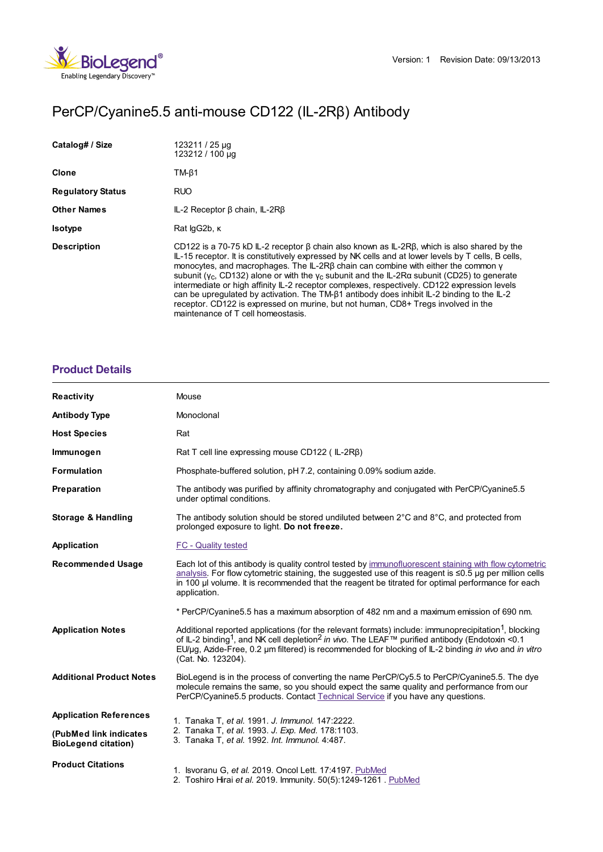

# PerCP/Cyanine5.5 anti-mouse CD122 (IL-2Rβ) Antibody

| Catalog# / Size          | 123211 / 25 µg<br>123212 / 100 µg                                                                                                                                                                                                                                                                                                                                                                                                                                                                                                                                                                                                                                                                                                    |
|--------------------------|--------------------------------------------------------------------------------------------------------------------------------------------------------------------------------------------------------------------------------------------------------------------------------------------------------------------------------------------------------------------------------------------------------------------------------------------------------------------------------------------------------------------------------------------------------------------------------------------------------------------------------------------------------------------------------------------------------------------------------------|
| Clone                    | $TM-\beta1$                                                                                                                                                                                                                                                                                                                                                                                                                                                                                                                                                                                                                                                                                                                          |
| <b>Regulatory Status</b> | <b>RUO</b>                                                                                                                                                                                                                                                                                                                                                                                                                                                                                                                                                                                                                                                                                                                           |
| <b>Other Names</b>       | $IL-2$ Receptor $\beta$ chain, $IL-2R\beta$                                                                                                                                                                                                                                                                                                                                                                                                                                                                                                                                                                                                                                                                                          |
| <b>Isotype</b>           | Rat lgG2b, K                                                                                                                                                                                                                                                                                                                                                                                                                                                                                                                                                                                                                                                                                                                         |
| <b>Description</b>       | CD122 is a 70-75 kD IL-2 receptor $\beta$ chain also known as IL-2R $\beta$ , which is also shared by the<br>IL-15 receptor. It is constitutively expressed by NK cells and at lower levels by T cells, B cells,<br>monocytes, and macrophages. The IL-2RB chain can combine with either the common y<br>subunit ( $y_c$ , CD132) alone or with the $y_c$ subunit and the IL-2Ra subunit (CD25) to generate<br>intermediate or high affinity IL-2 receptor complexes, respectively. CD122 expression levels<br>can be upregulated by activation. The TM-B1 antibody does inhibit IL-2 binding to the IL-2<br>receptor. CD122 is expressed on murine, but not human, CD8+ Tregs involved in the<br>maintenance of T cell homeostasis. |

# **[Product](https://www.biolegend.com/en-gb/products/percp-cyanine5-5-anti-mouse-cd122-il-2rbeta-antibody-8873?pdf=true&displayInline=true&leftRightMargin=15&topBottomMargin=15&filename=PerCP/Cyanine5.5 anti-mouse CD122 (IL-2R%EF%BF%BD%EF%BF%BD) Antibody.pdf#productDetails) Details**

| <b>Reactivity</b>                                     | Mouse                                                                                                                                                                                                                                                                                                                                                                    |
|-------------------------------------------------------|--------------------------------------------------------------------------------------------------------------------------------------------------------------------------------------------------------------------------------------------------------------------------------------------------------------------------------------------------------------------------|
| <b>Antibody Type</b>                                  | Monoclonal                                                                                                                                                                                                                                                                                                                                                               |
| <b>Host Species</b>                                   | Rat                                                                                                                                                                                                                                                                                                                                                                      |
| Immunogen                                             | Rat T cell line expressing mouse CD122 (IL-2RB)                                                                                                                                                                                                                                                                                                                          |
| <b>Formulation</b>                                    | Phosphate-buffered solution, pH 7.2, containing 0.09% sodium azide.                                                                                                                                                                                                                                                                                                      |
| Preparation                                           | The antibody was purified by affinity chromatography and conjugated with PerCP/Cyanine5.5<br>under optimal conditions.                                                                                                                                                                                                                                                   |
| <b>Storage &amp; Handling</b>                         | The antibody solution should be stored undiluted between $2^{\circ}$ C and $8^{\circ}$ C, and protected from<br>prolonged exposure to light. Do not freeze.                                                                                                                                                                                                              |
| Application                                           | FC - Quality tested                                                                                                                                                                                                                                                                                                                                                      |
| <b>Recommended Usage</b>                              | Each lot of this antibody is quality control tested by immunofluorescent staining with flow cytometric<br>analysis. For flow cytometric staining, the suggested use of this reagent is ≤0.5 µg per million cells<br>in 100 µ volume. It is recommended that the reagent be titrated for optimal performance for each<br>application.                                     |
|                                                       | * PerCP/Cyanine5.5 has a maximum absorption of 482 nm and a maximum emission of 690 nm.                                                                                                                                                                                                                                                                                  |
| <b>Application Notes</b>                              | Additional reported applications (for the relevant formats) include: immunoprecipitation <sup>1</sup> , blocking<br>of IL-2 binding <sup>1</sup> , and NK cell depletion <sup>2</sup> in vivo. The LEAF™ purified antibody (Endotoxin <0.1<br>EU/µg, Azide-Free, 0.2 µm filtered) is recommended for blocking of IL-2 binding in vivo and in vitro<br>(Cat. No. 123204). |
| <b>Additional Product Notes</b>                       | BioLegend is in the process of converting the name PerCP/Cy5.5 to PerCP/Cyanine5.5. The dye<br>molecule remains the same, so you should expect the same quality and performance from our<br>PerCP/Cyanine5.5 products. Contact Technical Service if you have any questions.                                                                                              |
| <b>Application References</b>                         | 1. Tanaka T, et al. 1991. J. Immunol. 147:2222.<br>2. Tanaka T, et al. 1993. J. Exp. Med. 178:1103.<br>3. Tanaka T, et al. 1992. Int. Immunol. 4:487.                                                                                                                                                                                                                    |
| (PubMed link indicates)<br><b>BioLegend citation)</b> |                                                                                                                                                                                                                                                                                                                                                                          |
| <b>Product Citations</b>                              | 1. Isvoranu G, et al. 2019. Oncol Lett. 17:4197. PubMed<br>2. Toshiro Hirai et al. 2019. Immunity. 50(5):1249-1261. PubMed                                                                                                                                                                                                                                               |